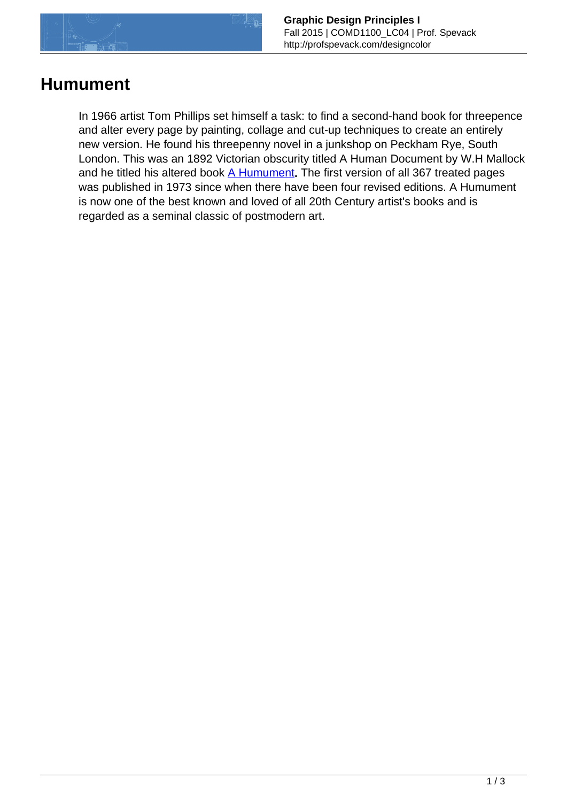

## **Humument**

In 1966 artist Tom Phillips set himself a task: to find a second-hand book for threepence and alter every page by painting, collage and cut-up techniques to create an entirely new version. He found his threepenny novel in a junkshop on Peckham Rye, South London. This was an 1892 Victorian obscurity titled A Human Document by W.H Mallock and he titled his altered book [A Humument](http://www.tomphillips.co.uk/humument/slideshow/1-50). The first version of all 367 treated pages was published in 1973 since when there have been four revised editions. A Humument is now one of the best known and loved of all 20th Century artist's books and is regarded as a seminal classic of postmodern art.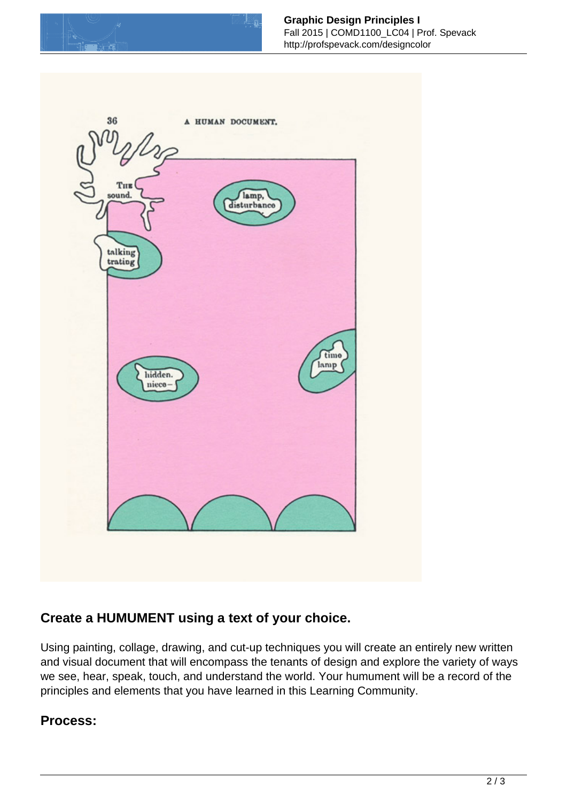



## **Create a HUMUMENT using a text of your choice.**

Using painting, collage, drawing, and cut-up techniques you will create an entirely new written and visual document that will encompass the tenants of design and explore the variety of ways we see, hear, speak, touch, and understand the world. Your humument will be a record of the principles and elements that you have learned in this Learning Community.

## **Process:**